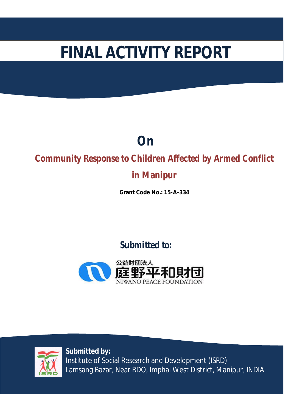# **FINAL ACTIVITY REPORT**

## **On**

## **Community Response to Children Affected by Armed Conflict**

## **in Manipur**

**Grant Code No.: 15-A-334**

## **Submitted to:**





**Submitted by:** Institute of Social Research and Development (ISRD) Lamsang Bazar, Near RDO, Imphal West District, Manipur, INDIA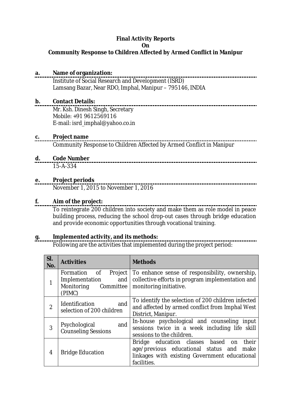#### **Final Activity Reports On Community Response to Children Affected by Armed Conflict in Manipur**

#### **a. Name of organization:**

Institute of Social Research and Development (ISRD) Lamsang Bazar, Near RDO, Imphal, Manipur – 795146, INDIA

#### **b. Contact Details:**

Mr. Ksh. Dinesh Singh, Secretary Mobile: +91 9612569116 E-mail: isrd\_imphal@yahoo.co.in

## **c. Project name**

Community Response to Children Affected by Armed Conflict in Manipur

## **d. Code Number**

15-A-334

#### **e. Project periods**

November 1, 2015 to November 1, 2016

#### **f. Aim of the project:**

To reintegrate 200 children into society and make them as role model in peace building process, reducing the school drop-out cases through bridge education and provide economic opportunities through vocational training.

#### **g. Implemented activity, and its methods:**

Following are the activities that implemented during the project period:

| SI.<br>No.     | <b>Activities</b>                                                                                                                                                                                     | <b>Methods</b>                                                                                                                                               |
|----------------|-------------------------------------------------------------------------------------------------------------------------------------------------------------------------------------------------------|--------------------------------------------------------------------------------------------------------------------------------------------------------------|
|                | Formation<br>Project<br>of the contract of the contract of the contract of the contract of the contract of the contract of the contract<br>Implementation<br>and<br>Monitoring<br>Committee<br>(PIMC) | To enhance sense of responsibility, ownership,<br>collective efforts in program implementation and<br>monitoring initiative.                                 |
| $\overline{2}$ | and<br>Identification<br>selection of 200 children                                                                                                                                                    | To identify the selection of 200 children infected<br>and affected by armed conflict from Imphal West<br>District, Manipur.                                  |
| 3              | and<br>Psychological<br><b>Counseling Sessions</b>                                                                                                                                                    | In-house psychological and counseling input<br>sessions twice in a week including life skill<br>sessions to the children.                                    |
| 4              | <b>Bridge Education</b>                                                                                                                                                                               | their<br>Bridge education classes based<br>on<br>age/previous educational status and<br>make<br>linkages with existing Government educational<br>facilities. |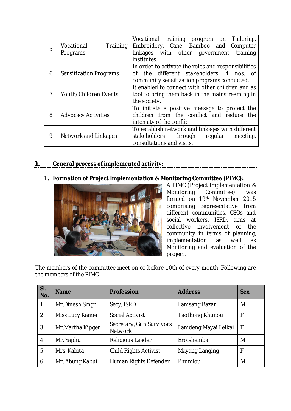|   |                               | Vocational training program on Tailoring,           |
|---|-------------------------------|-----------------------------------------------------|
| 5 | Vocational<br>Training        | Embroidery, Cane, Bamboo and Computer               |
|   | Programs                      | linkages with other government training             |
|   |                               | institutes.                                         |
|   |                               | In order to activate the roles and responsibilities |
| 6 | <b>Sensitization Programs</b> | of the different stakeholders, 4 nos. of            |
|   |                               | community sensitization programs conducted.         |
|   |                               | It enabled to connect with other children and as    |
| 7 | Youth/Children Events         | tool to bring them back in the mainstreaming in     |
|   |                               | the society.                                        |
|   |                               | To initiate a positive message to protect the       |
| 8 | <b>Advocacy Activities</b>    | children from the conflict and reduce the           |
|   |                               | intensity of the conflict.                          |
|   |                               | To establish network and linkages with different    |
| 9 | Network and Linkages          | stakeholders<br>through regular<br>meeting,         |
|   |                               | consultations and visits.                           |
|   |                               |                                                     |

#### **h. General process of implemented activity:**

#### **1. Formation of Project Implementation & Monitoring Committee (PIMC):**



A PIMC (Project Implementation & Committee) was formed on 19th November 2015 comprising representative from different communities, CSOs and social workers. ISRD, aims at collective involvement of the community in terms of planning, implementation as well as Monitoring and evaluation of the project.

The members of the committee meet on or before 10th of every month. Following are the members of the PIMC.

| SI.<br>No.     | <b>Name</b>                   | <b>Profession</b>                          | <b>Address</b>         | <b>Sex</b> |
|----------------|-------------------------------|--------------------------------------------|------------------------|------------|
| 1.             | Mr.Dinesh Singh               | Secy, ISRD                                 | Lamsang Bazar          | M          |
| 2.             | Miss Lucy Kamei               | Social Activist                            | <b>Taothong Khunou</b> | F          |
| 3.             | Mr.Martha Kipgen              | Secretary, Gun Survivors<br><b>Network</b> | Lamdeng Mayai Leikai   | F          |
| 4.             | Religious Leader<br>Mr. Saphu |                                            | Eroishemba             | M          |
| 5.             | Mrs. Kabita                   | <b>Child Rights Activist</b>               | Mayang Langing         |            |
| 6 <sub>1</sub> | Mr. Abung Kabui               | Human Rights Defender                      | Phumlou                | M          |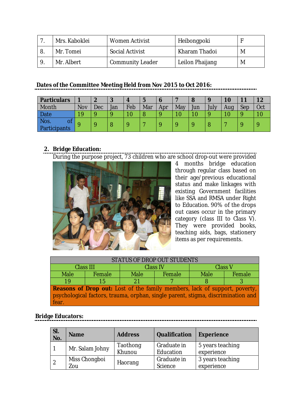|     | Mrs. Kaboklei | Women Activist          | Heibongpoki     |   |
|-----|---------------|-------------------------|-----------------|---|
|     | Mr. Tomei     | <b>Social Activist</b>  | Kharam Thadoi   | M |
| - 9 | Mr. Albert    | <b>Community Leader</b> | Leilon Phaijang | M |

#### **Dates of the Committee Meeting Held from Nov 2015 to Oct 2016:**

| <b>Particulars</b>         |     | n   | $\cdot$ |     |     |     |     | $\Omega$ |      |     | 11  |     |
|----------------------------|-----|-----|---------|-----|-----|-----|-----|----------|------|-----|-----|-----|
| Month                      | Nov | Dec | Jan     | Feb | Mar | Apr | May | Jun      | July | Aug | Sep | Oct |
| Date                       | 1 Q |     |         |     |     |     |     |          |      |     |     |     |
| Nos.<br>OT<br>Participants | Ω   |     |         |     |     |     |     |          |      |     |     |     |

## **2. Bridge Education:**

During the purpose project, 73 children who are school drop-out were provided



4 months bridge education through regular class based on their age/previous educational status and make linkages with existing Government facilities like SSA and RMSA under Right to Education. 90% of the drops out cases occur in the primary category (class III to Class V). They were provided books, teaching aids, bags, stationery items as per requirements.

| STATUS OF DROP OUT STUDENTS                                                       |        |                 |        |                |        |  |
|-----------------------------------------------------------------------------------|--------|-----------------|--------|----------------|--------|--|
| Class III                                                                         |        | <b>Class IV</b> |        | <b>Class V</b> |        |  |
| <b>Male</b>                                                                       | Female | <b>Male</b>     | Female | <b>Male</b>    | Female |  |
| 19                                                                                | 15     | 21              |        |                |        |  |
| <b>Reasons of Drop out:</b> Lost of the family members, lack of support, poverty, |        |                 |        |                |        |  |
| psychological factors, trauma, orphan, single parent, stigma, discrimination and  |        |                 |        |                |        |  |
| fear.                                                                             |        |                 |        |                |        |  |

#### **Bridge Educators:**

| SI.<br>No. | <b>Name</b>          | <b>Address</b>     | <b>Qualification</b>     | <b>Experience</b>              |
|------------|----------------------|--------------------|--------------------------|--------------------------------|
|            | Mr. Salam Johny      | Taothong<br>Khunou | Graduate in<br>Education | 5 years teaching<br>experience |
|            | Miss Chongboi<br>Zou | Haorang            | Graduate in<br>Science   | 3 years teaching<br>experience |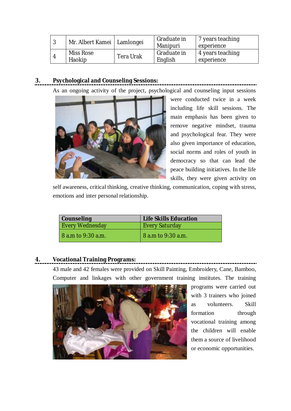| ာ | Mr. Albert Kamei   Lamlongei |           | Graduate in<br>Manipuri | 7 years teaching<br>experience |
|---|------------------------------|-----------|-------------------------|--------------------------------|
|   | Miss Rose<br>Haokip          | Tera Urak | Graduate in<br>English  | 4 years teaching<br>experience |

#### **3. Psychological and Counseling Sessions:**

As an ongoing activity of the project, psychological and counseling input sessions



were conducted twice in a week including life skill sessions. The main emphasis has been given to remove negative mindset, trauma and psychological fear. They were also given importance of education, social norms and roles of youth in democracy so that can lead the peace building initiatives. In the life skills, they were given activity on

self awareness, critical thinking, creative thinking, communication, coping with stress, emotions and inter personal relationship.

| <b>Counseling</b>               | <b>Life Skills Education</b> |  |
|---------------------------------|------------------------------|--|
| <b>Every Wednesday</b>          | <b>Every Saturday</b>        |  |
| $\overline{8}$ a.m to 9:30 a.m. | 8 a.m to 9:30 a.m.           |  |

#### **4. Vocational Training Programs:**

43 male and 42 females were provided on Skill Painting, Embroidery, Cane, Bamboo, Computer and linkages with other government training institutes. The training



programs were carried out with 3 trainers who joined as volunteers. Skill formation through vocational training among the children will enable them a source of livelihood or economic opportunities.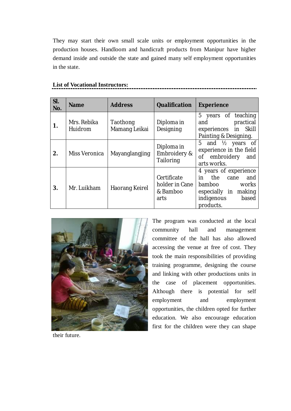They may start their own small scale units or employment opportunities in the production houses. Handloom and handicraft products from Manipur have higher demand inside and outside the state and gained many self employment opportunities in the state.

| SI.<br>No. | <b>Name</b>            | <b>Address</b>            | <b>Qualification</b>                              | <b>Experience</b>                                                                                                             |
|------------|------------------------|---------------------------|---------------------------------------------------|-------------------------------------------------------------------------------------------------------------------------------|
| 1.         | Mrs. Rebika<br>Huidrom | Taothong<br>Mamang Leikai | Diploma in<br>Designing                           | 5 years of teaching<br>practical<br>and<br>experiences in Skill<br>Painting & Designing.                                      |
| 2.         | Miss Veronica          | Mayanglangjing            | Diploma in<br>Embroidery &<br>Tailoring           | 5 and $\frac{1}{2}$ years of<br>experience in the field<br>of embroidery<br>and<br>arts works.                                |
| 3.         | Mr. Luikham            | Haorang Keirel            | Certificate<br>holder in Cane<br>& Bamboo<br>arts | 4 years of experience<br>the cane<br>in<br>and<br>bamboo<br>works<br>especially in making<br>indigenous<br>based<br>products. |

#### **List of Vocational Instructors:**



The program was conducted at the local community hall and management committee of the hall has also allowed accessing the venue at free of cost. They took the main responsibilities of providing training programme, designing the course and linking with other productions units in the case of placement opportunities. Although there is potential for self employment and employment opportunities, the children opted for further education. We also encourage education first for the children were they can shape

their future.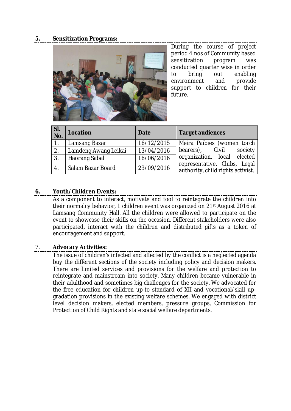#### **5. Sensitization Programs:**



During the course of project period 4 nos of Community based sensitization program was conducted quarter wise in order to bring out enabling environment and provide support to children for their future.

| SI.<br>No. | Location             | <b>Date</b> | <b>Target audiences</b>                                           |
|------------|----------------------|-------------|-------------------------------------------------------------------|
|            | Lamsang Bazar        | 16/12/2015  | Meira Paibies (women torch                                        |
| 2.         | Lamdeng Awang Leikai | 13/04/2016  | bearers), Civil<br>society                                        |
| 3.         | <b>Haorang Sabal</b> | 16/06/2016  | organization, local elected                                       |
| 4.         | Salam Bazar Board    | 23/09/2016  | representative, Clubs, Legal<br>authority, child rights activist. |

#### **6. Youth/Children Events:**

As a component to interact, motivate and tool to reintegrate the children into their normalcy behavior, 1 children event was organized on 21st August 2016 at Lamsang Community Hall. All the children were allowed to participate on the event to showcase their skills on the occasion. Different stakeholders were also participated, interact with the children and distributed gifts as a token of encouragement and support.

#### 7. **Advocacy Activities:**

The issue of children's infected and affected by the conflict is a neglected agenda buy the different sections of the society including policy and decision makers. There are limited services and provisions for the welfare and protection to reintegrate and mainstream into society. Many children became vulnerable in their adulthood and sometimes big challenges for the society. We advocated for the free education for children up-to standard of XII and vocational/skill upgradation provisions in the existing welfare schemes. We engaged with district level decision makers, elected members, pressure groups, Commission for Protection of Child Rights and state social welfare departments.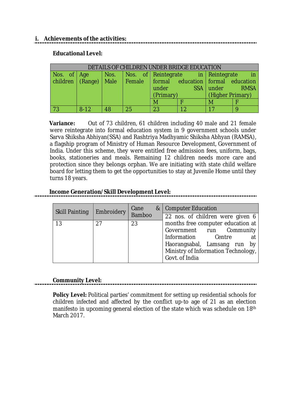#### **i. Achievements of the activities:**

#### **Educational Level:**

| DETAILS OF CHILDREN UNDER BRIDGE EDUCATION |          |    |    |           |                                                                                                                |                  |                  |  |  |
|--------------------------------------------|----------|----|----|-----------|----------------------------------------------------------------------------------------------------------------|------------------|------------------|--|--|
| Nos. of Age                                |          |    |    |           | Nos.   Nos. of Reintegrate in Reintegrate                                                                      |                  | $\blacksquare$ p |  |  |
|                                            |          |    |    |           | $\vert$ children $\vert$ (Range) $\vert$ Male $\vert$ Female $\vert$ formal education $\vert$ formal education |                  |                  |  |  |
|                                            |          |    |    | under     |                                                                                                                | SSA under        | <b>RMSA</b>      |  |  |
|                                            |          |    |    | (Primary) |                                                                                                                | (Higher Primary) |                  |  |  |
|                                            |          |    |    | M         |                                                                                                                | M                |                  |  |  |
|                                            | $8 - 12$ | 48 | 25 | 23        |                                                                                                                |                  |                  |  |  |

**Variance:** Out of 73 children, 61 children including 40 male and 21 female were reintegrate into formal education system in 9 government schools under Sarva Shiksha Abhiyan(SSA) and Rashtriya Madhyamic Shiksha Abhyan (RAMSA), a flagship program of Ministry of Human Resource Development, Government of India. Under this scheme, they were entitled free admission fees, uniform, bags, books, stationeries and meals. Remaining 12 children needs more care and protection since they belongs orphan. We are initiating with state child welfare board for letting them to get the opportunities to stay at Juvenile Home until they turns 18 years.

#### **Income Generation/Skill Development Level:**

| <b>Skill Painting</b> | Embroidery | Cane<br>Bamboo |  | &   Computer Education                                                                                                                                        |
|-----------------------|------------|----------------|--|---------------------------------------------------------------------------------------------------------------------------------------------------------------|
|                       |            |                |  | 22 nos. of children were given 6                                                                                                                              |
| 13                    | 27         | 23             |  | months free computer education at<br>Government run Community<br>Information<br>Centre<br>Haorangsabal, Lamsang run by<br>Ministry of Information Technology, |
|                       |            |                |  | Govt. of India                                                                                                                                                |

#### **Community Level:**

**Policy Level:** Political parties' commitment for setting up residential schools for children infected and affected by the conflict up-to age of 21 as an election manifesto in upcoming general election of the state which was schedule on 18<sup>th</sup> March 2017.